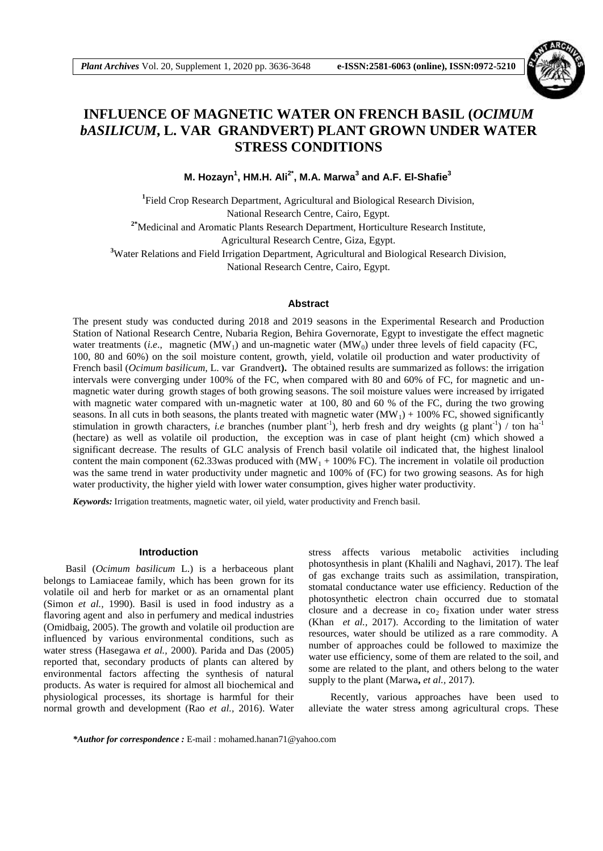

# **INFLUENCE OF MAGNETIC WATER ON FRENCH BASIL (***OCIMUM bASILICUM***, L. VAR GRANDVERT) PLANT GROWN UNDER WATER STRESS CONDITIONS**

**M. Hozayn<sup>1</sup> , HM.H. Ali2\* , M.A. Marwa<sup>3</sup> and A.F. El-Shafie<sup>3</sup>**

<sup>1</sup>Field Crop Research Department, Agricultural and Biological Research Division, National Research Centre, Cairo, Egypt. **2\***Medicinal and Aromatic Plants Research Department, Horticulture Research Institute,

Agricultural Research Centre, Giza, Egypt.

**<sup>3</sup>**Water Relations and Field Irrigation Department, Agricultural and Biological Research Division,

National Research Centre, Cairo, Egypt.

## **Abstract**

The present study was conducted during 2018 and 2019 seasons in the Experimental Research and Production Station of National Research Centre, Nubaria Region, Behira Governorate, Egypt to investigate the effect magnetic water treatments (*i.e.*, magnetic (MW<sub>1</sub>) and un-magnetic water (MW<sub>0</sub>) under three levels of field capacity (FC, 100, 80 and 60%) on the soil moisture content, growth, yield, volatile oil production and water productivity of French basil (*Ocimum basilicum,* L. var Grandvert**).** The obtained results are summarized as follows: the irrigation intervals were converging under 100% of the FC, when compared with 80 and 60% of FC, for magnetic and unmagnetic water during growth stages of both growing seasons. The soil moisture values were increased by irrigated with magnetic water compared with un-magnetic water at 100, 80 and 60 % of the FC, during the two growing seasons. In all cuts in both seasons, the plants treated with magnetic water  $(MW_1) + 100\%$  FC, showed significantly stimulation in growth characters, *i.e* branches (number plant<sup>-1</sup>), herb fresh and dry weights (g plant<sup>-1</sup>) / ton ha<sup>-1</sup> (hectare) as well as volatile oil production, the exception was in case of plant height (cm) which showed a significant decrease. The results of GLC analysis of French basil volatile oil indicated that, the highest linalool content the main component (62.33 was produced with  $(MW_1 + 100\%$  FC). The increment in volatile oil production was the same trend in water productivity under magnetic and 100% of (FC) for two growing seasons. As for high water productivity, the higher yield with lower water consumption, gives higher water productivity.

*Keywords:* Irrigation treatments, magnetic water, oil yield, water productivity and French basil.

#### **Introduction**

Basil (*Ocimum basilicum* L.) is a herbaceous plant belongs to Lamiaceae family, which has been grown for its volatile oil and herb for market or as an ornamental plant (Simon *et al.,* 1990). Basil is used in food industry as a flavoring agent and also in perfumery and medical industries (Omidbaig, 2005). The growth and volatile oil production are influenced by various environmental conditions, such as water stress (Hasegawa *et al.,* 2000). Parida and Das (2005) reported that, secondary products of plants can altered by environmental factors affecting the synthesis of natural products. As water is required for almost all biochemical and physiological processes, its shortage is harmful for their normal growth and development (Rao *et al.,* 2016). Water

stress affects various metabolic activities including photosynthesis in plant (Khalili and Naghavi, 2017). The leaf of gas exchange traits such as assimilation, transpiration, stomatal conductance water use efficiency. Reduction of the photosynthetic electron chain occurred due to stomatal closure and a decrease in  $co<sub>2</sub>$  fixation under water stress (Khan *et al.,* 2017). According to the limitation of water resources, water should be utilized as a rare commodity. A number of approaches could be followed to maximize the water use efficiency, some of them are related to the soil, and some are related to the plant, and others belong to the water supply to the plant (Marwa**,** *et al.,* 2017).

Recently, various approaches have been used to alleviate the water stress among agricultural crops. These

*\*Author for correspondence :* E-mail : mohamed.hanan71@yahoo.com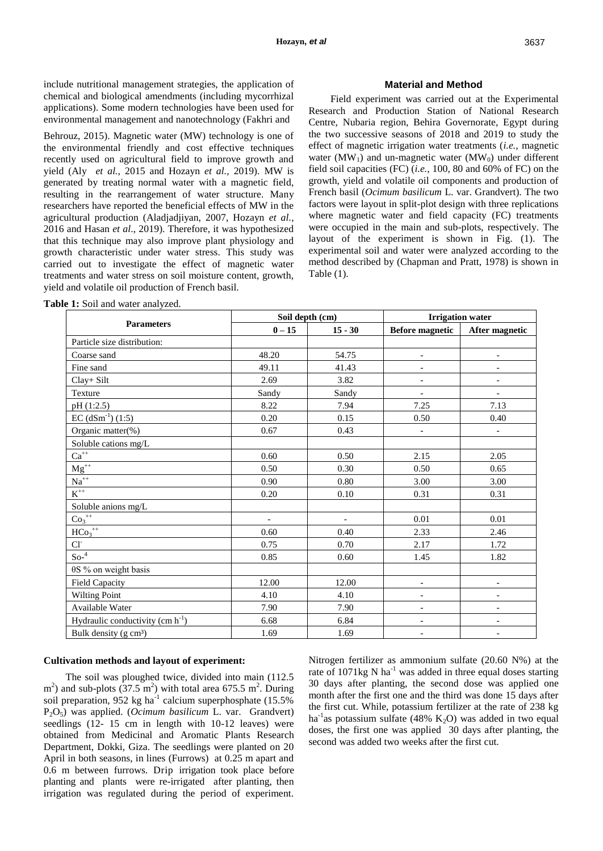include nutritional management strategies, the application of chemical and biological amendments (including mycorrhizal applications). Some modern technologies have been used for environmental management and nanotechnology (Fakhri and

Behrouz, 2015). Magnetic water (MW) technology is one of the environmental friendly and cost effective techniques recently used on agricultural field to improve growth and yield (Aly *et al.,* 2015 and Hozayn *et al.,* 2019). MW is generated by treating normal water with a magnetic field, resulting in the rearrangement of water structure. Many researchers have reported the beneficial effects of MW in the agricultural production (Aladjadjiyan, 2007, Hozayn *et al.,* 2016 and Hasan *et al*., 2019). Therefore, it was hypothesized that this technique may also improve plant physiology and growth characteristic under water stress. This study was carried out to investigate the effect of magnetic water treatments and water stress on soil moisture content, growth, yield and volatile oil production of French basil.

#### **Material and Method**

Field experiment was carried out at the Experimental Research and Production Station of National Research Centre, Nubaria region, Behira Governorate, Egypt during the two successive seasons of 2018 and 2019 to study the effect of magnetic irrigation water treatments (*i.e.,* magnetic water (MW<sub>1</sub>) and un-magnetic water (MW<sub>0</sub>) under different field soil capacities (FC) (*i.e.,* 100, 80 and 60% of FC) on the growth, yield and volatile oil components and production of French basil (*Ocimum basilicum* L. var. Grandvert). The two factors were layout in split-plot design with three replications where magnetic water and field capacity (FC) treatments were occupied in the main and sub-plots, respectively. The layout of the experiment is shown in Fig. (1). The experimental soil and water were analyzed according to the method described by (Chapman and Pratt, 1978) is shown in Table (1).

|                                       | Soil depth (cm) |                |                              | <b>Irrigation water</b>  |
|---------------------------------------|-----------------|----------------|------------------------------|--------------------------|
| <b>Parameters</b>                     | $0 - 15$        | $15 - 30$      | <b>Before magnetic</b>       | After magnetic           |
| Particle size distribution:           |                 |                |                              |                          |
| Coarse sand                           | 48.20           | 54.75          | $\qquad \qquad \blacksquare$ | $\qquad \qquad -$        |
| Fine sand                             | 49.11           | 41.43          | $\overline{\phantom{a}}$     | $\overline{\phantom{a}}$ |
| Clay+ Silt                            | 2.69            | 3.82           | $\qquad \qquad \blacksquare$ | $\overline{\phantom{a}}$ |
| Texture                               | Sandy           | Sandy          | $\overline{\phantom{0}}$     | $\overline{\phantom{0}}$ |
| pH (1:2.5)                            | 8.22            | 7.94           | 7.25                         | 7.13                     |
| $EC (dSm^{-1}) (1:5)$                 | 0.20            | 0.15           | 0.50                         | 0.40                     |
| Organic matter(%)                     | 0.67            | 0.43           | $\overline{\phantom{a}}$     | $\overline{\phantom{a}}$ |
| Soluble cations mg/L                  |                 |                |                              |                          |
| $\mathrm{Ca}^{++}$                    | 0.60            | 0.50           | 2.15                         | 2.05                     |
| $Mg^{++}$                             | 0.50            | 0.30           | 0.50                         | 0.65                     |
| $\mathrm{Na}^{++}$                    | 0.90            | 0.80           | 3.00                         | 3.00                     |
| $\mbox{K}^{++}$                       | 0.20            | 0.10           | 0.31                         | 0.31                     |
| Soluble anions mg/L                   |                 |                |                              |                          |
| $\text{Co}_3^{++}$                    | $\blacksquare$  | $\blacksquare$ | 0.01                         | 0.01                     |
| $\overline{HCo_3^{++}}$               | 0.60            | 0.40           | 2.33                         | 2.46                     |
| $Cl-$                                 | 0.75            | 0.70           | 2.17                         | 1.72                     |
| $So-4$                                | 0.85            | 0.60           | 1.45                         | 1.82                     |
| $\theta$ S % on weight basis          |                 |                |                              |                          |
| <b>Field Capacity</b>                 | 12.00           | 12.00          | $\overline{\phantom{0}}$     | $\overline{\phantom{0}}$ |
| Wilting Point                         | 4.10            | 4.10           | $\overline{a}$               |                          |
| Available Water                       | 7.90            | 7.90           | $\overline{a}$               |                          |
| Hydraulic conductivity (cm $h^{-1}$ ) | 6.68            | 6.84           | $\overline{\phantom{a}}$     | $\overline{\phantom{a}}$ |
| Bulk density (g cm <sup>3</sup> )     | 1.69            | 1.69           | $\overline{\phantom{a}}$     | $\overline{\phantom{a}}$ |

**Table 1:** Soil and water analyzed.

### **Cultivation methods and layout of experiment:**

The soil was ploughed twice, divided into main (112.5  $(m<sup>2</sup>)$  and sub-plots (37.5 m<sup>2</sup>) with total area 675.5 m<sup>2</sup>. During soil preparation, 952 kg ha<sup>-1</sup> calcium superphosphate  $(15.5\%$ P2O5) was applied. (*Ocimum basilicum* L. var. Grandvert) seedlings (12- 15 cm in length with 10-12 leaves) were obtained from Medicinal and Aromatic Plants Research Department, Dokki, Giza. The seedlings were planted on 20 April in both seasons, in lines (Furrows) at 0.25 m apart and 0.6 m between furrows. Drip irrigation took place before planting and plants were re-irrigated after planting, then irrigation was regulated during the period of experiment.

Nitrogen fertilizer as ammonium sulfate (20.60 N%) at the rate of 1071kg N ha<sup>-1</sup> was added in three equal doses starting 30 days after planting, the second dose was applied one month after the first one and the third was done 15 days after the first cut. While, potassium fertilizer at the rate of 238 kg ha<sup>-1</sup>as potassium sulfate (48% K<sub>2</sub>O) was added in two equal doses, the first one was applied 30 days after planting, the second was added two weeks after the first cut.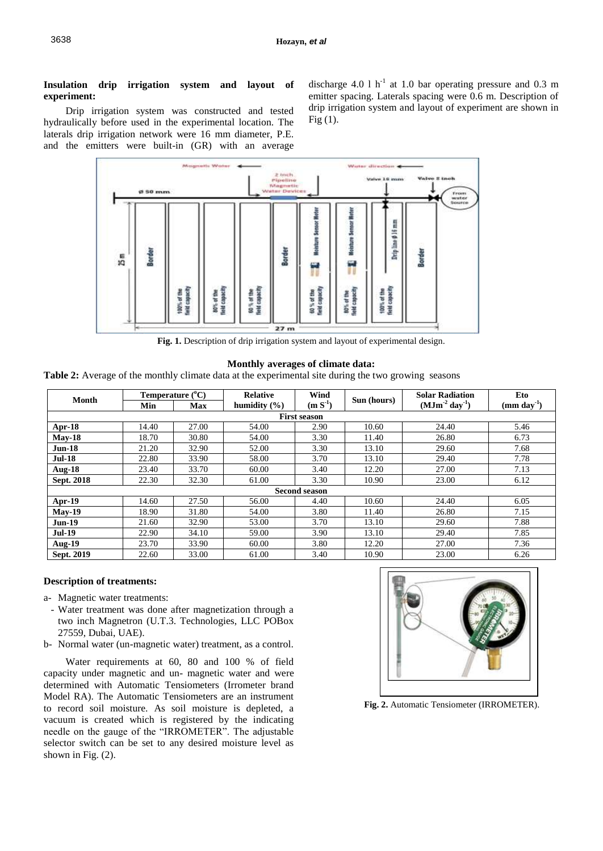## **Insulation drip irrigation system and layout of experiment:**

Drip irrigation system was constructed and tested hydraulically before used in the experimental location. The laterals drip irrigation network were 16 mm diameter, P.E. and the emitters were built-in (GR) with an average

discharge 4.0 1  $h^{-1}$  at 1.0 bar operating pressure and 0.3 m emitter spacing. Laterals spacing were 0.6 m. Description of drip irrigation system and layout of experiment are shown in Fig (1).



Fig. 1. Description of drip irrigation system and layout of experimental design.

#### **Monthly averages of climate data:**

**Table 2:** Average of the monthly climate data at the experimental site during the two growing seasons

| Month             | Temperature $(^{\circ}C)$ |       | <b>Relative</b>  | Wind                 |             | <b>Solar Radiation</b> | Eto                              |
|-------------------|---------------------------|-------|------------------|----------------------|-------------|------------------------|----------------------------------|
|                   | Min                       | Max   | humidity $(\% )$ | $(m S-1)$            | Sun (hours) | $(MJm-2 day-1)$        | $\left(\text{mm day}^{1}\right)$ |
|                   |                           |       |                  | <b>First season</b>  |             |                        |                                  |
| Apr-18            | 14.40                     | 27.00 | 54.00            | 2.90                 | 10.60       | 24.40                  | 5.46                             |
| $May-18$          | 18.70                     | 30.80 | 54.00            | 3.30                 | 11.40       | 26.80                  | 6.73                             |
| $Jun-18$          | 21.20                     | 32.90 | 52.00            | 3.30                 | 13.10       | 29.60                  | 7.68                             |
| <b>Jul-18</b>     | 22.80                     | 33.90 | 58.00            | 3.70                 | 13.10       | 29.40                  | 7.78                             |
| <b>Aug-18</b>     | 23.40                     | 33.70 | 60.00            | 3.40                 | 12.20       | 27.00                  | 7.13                             |
| <b>Sept. 2018</b> | 22.30                     | 32.30 | 61.00            | 3.30                 | 10.90       | 23.00                  | 6.12                             |
|                   |                           |       |                  | <b>Second season</b> |             |                        |                                  |
| Apr-19            | 14.60                     | 27.50 | 56.00            | 4.40                 | 10.60       | 24.40                  | 6.05                             |
| $May-19$          | 18.90                     | 31.80 | 54.00            | 3.80                 | 11.40       | 26.80                  | 7.15                             |
| $Jun-19$          | 21.60                     | 32.90 | 53.00            | 3.70                 | 13.10       | 29.60                  | 7.88                             |
| <b>Jul-19</b>     | 22.90                     | 34.10 | 59.00            | 3.90                 | 13.10       | 29.40                  | 7.85                             |
| <b>Aug-19</b>     | 23.70                     | 33.90 | 60.00            | 3.80                 | 12.20       | 27.00                  | 7.36                             |
| Sept. 2019        | 22.60                     | 33.00 | 61.00            | 3.40                 | 10.90       | 23.00                  | 6.26                             |

## **Description of treatments:**

- a- Magnetic water treatments:
- Water treatment was done after magnetization through a two inch Magnetron (U.T.3. Technologies, LLC POBox 27559, Dubai, UAE).
- b- Normal water (un-magnetic water) treatment, as a control.

Water requirements at 60, 80 and 100 % of field capacity under magnetic and un- magnetic water and were determined with Automatic Tensiometers (Irrometer brand Model RA). The Automatic Tensiometers are an instrument to record soil moisture. As soil moisture is depleted, a vacuum is created which is registered by the indicating needle on the gauge of the "IRROMETER". The adjustable selector switch can be set to any desired moisture level as shown in Fig. (2).



 **Fig. 2.** Automatic Tensiometer (IRROMETER).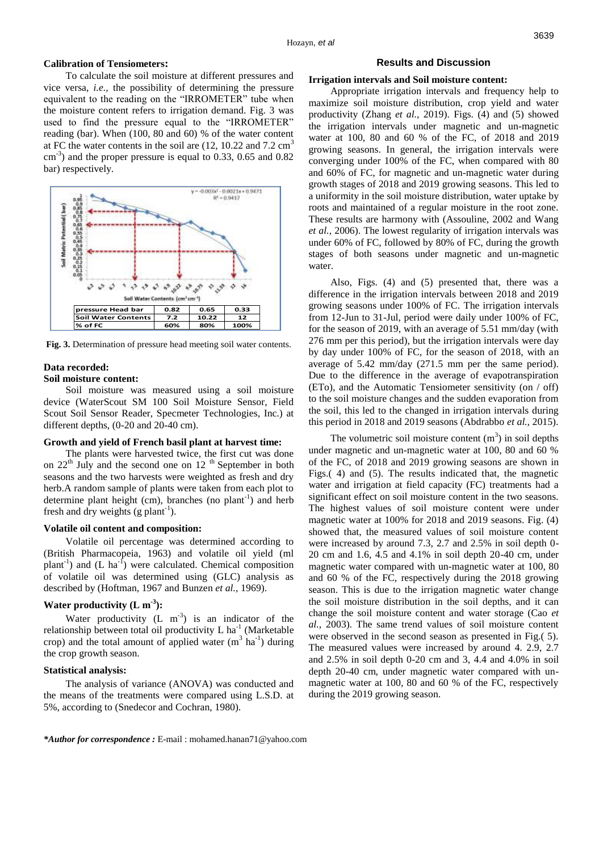#### **Calibration of Tensiometers:**

To calculate the soil moisture at different pressures and vice versa, *i.e.,* the possibility of determining the pressure equivalent to the reading on the "IRROMETER" tube when the moisture content refers to irrigation demand. Fig. 3 was used to find the pressure equal to the "IRROMETER" reading (bar). When (100, 80 and 60) % of the water content at FC the water contents in the soil are  $(12, 10.22 \text{ and } 7.2 \text{ cm}^3)$  $\text{cm}^{-3}$ ) and the proper pressure is equal to 0.33, 0.65 and 0.82 bar) respectively.



**Fig. 3.** Determination of pressure head meeting soil water contents.

#### **Data recorded:**

#### **Soil moisture content:**

Soil moisture was measured using a soil moisture device (WaterScout SM 100 Soil Moisture Sensor, Field Scout Soil Sensor Reader, Specmeter Technologies, Inc.) at different depths, (0-20 and 20-40 cm).

#### **Growth and yield of French basil plant at harvest time:**

The plants were harvested twice, the first cut was done on  $22<sup>th</sup>$  July and the second one on 12<sup>th</sup> September in both seasons and the two harvests were weighted as fresh and dry herb.A random sample of plants were taken from each plot to determine plant height (cm), branches (no plant<sup>-1</sup>) and herb fresh and dry weights (g plant<sup>-1</sup>).

#### **Volatile oil content and composition:**

Volatile oil percentage was determined according to (British Pharmacopeia, 1963) and volatile oil yield (ml plant<sup>-1</sup>) and  $(L \text{ ha}^{-1})$  were calculated. Chemical composition of volatile oil was determined using (GLC) analysis as described by (Hoftman, 1967 and Bunzen *et al.,* 1969).

## **Water productivity (L m-3 ):**

Water productivity  $(L \text{ m}^{-3})$  is an indicator of the relationship between total oil productivity  $L$  ha<sup>-1</sup> (Marketable crop) and the total amount of applied water  $(m^3 \text{ ha}^{-1})$  during the crop growth season.

#### **Statistical analysis:**

The analysis of variance (ANOVA) was conducted and the means of the treatments were compared using L.S.D. at 5%, according to (Snedecor and Cochran, 1980).

#### **Results and Discussion**

#### **Irrigation intervals and Soil moisture content:**

Appropriate irrigation intervals and frequency help to maximize soil moisture distribution, crop yield and water productivity (Zhang *et al.,* 2019). Figs. (4) and (5) showed the irrigation intervals under magnetic and un-magnetic water at 100, 80 and 60 % of the FC, of 2018 and 2019 growing seasons. In general, the irrigation intervals were converging under 100% of the FC, when compared with 80 and 60% of FC, for magnetic and un-magnetic water during growth stages of 2018 and 2019 growing seasons. This led to a uniformity in the soil moisture distribution, water uptake by roots and maintained of a regular moisture in the root zone. These results are harmony with (Assouline, 2002 and Wang *et al.,* 2006). The lowest regularity of irrigation intervals was under 60% of FC, followed by 80% of FC, during the growth stages of both seasons under magnetic and un-magnetic water.

Also, Figs. (4) and (5) presented that, there was a difference in the irrigation intervals between 2018 and 2019 growing seasons under 100% of FC. The irrigation intervals from 12-Jun to 31-Jul, period were daily under 100% of FC, for the season of 2019, with an average of 5.51 mm/day (with 276 mm per this period), but the irrigation intervals were day by day under 100% of FC, for the season of 2018, with an average of 5.42 mm/day (271.5 mm per the same period). Due to the difference in the average of evapotranspiration (ETo), and the Automatic Tensiometer sensitivity (on / off) to the soil moisture changes and the sudden evaporation from the soil, this led to the changed in irrigation intervals during this period in 2018 and 2019 seasons (Abdrabbo *et al.,* 2015).

The volumetric soil moisture content  $(m<sup>3</sup>)$  in soil depths under magnetic and un-magnetic water at 100, 80 and 60 % of the FC, of 2018 and 2019 growing seasons are shown in Figs.( 4) and (5). The results indicated that, the magnetic water and irrigation at field capacity (FC) treatments had a significant effect on soil moisture content in the two seasons. The highest values of soil moisture content were under magnetic water at 100% for 2018 and 2019 seasons. Fig. (4) showed that, the measured values of soil moisture content were increased by around 7.3, 2.7 and 2.5% in soil depth 0- 20 cm and 1.6, 4.5 and 4.1% in soil depth 20-40 cm, under magnetic water compared with un-magnetic water at 100, 80 and 60 % of the FC, respectively during the 2018 growing season. This is due to the irrigation magnetic water change the soil moisture distribution in the soil depths, and it can change the soil moisture content and water storage (Cao *et al.,* 2003). The same trend values of soil moisture content were observed in the second season as presented in Fig.( 5). The measured values were increased by around 4. 2.9, 2.7 and 2.5% in soil depth 0-20 cm and 3, 4.4 and 4.0% in soil depth 20-40 cm, under magnetic water compared with unmagnetic water at 100, 80 and 60 % of the FC, respectively during the 2019 growing season.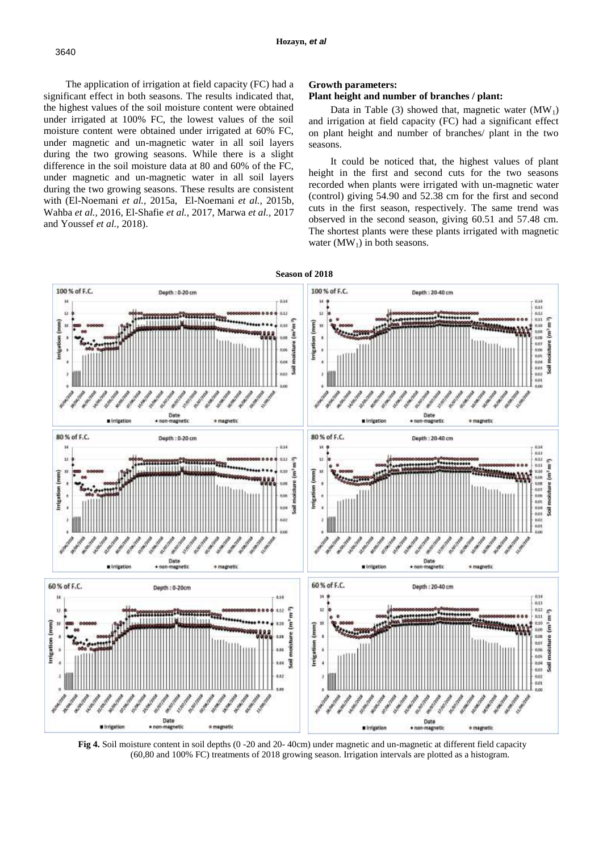The application of irrigation at field capacity (FC) had a significant effect in both seasons. The results indicated that, the highest values of the soil moisture content were obtained under irrigated at 100% FC, the lowest values of the soil moisture content were obtained under irrigated at 60% FC, under magnetic and un-magnetic water in all soil layers during the two growing seasons. While there is a slight difference in the soil moisture data at 80 and 60% of the FC, under magnetic and un-magnetic water in all soil layers during the two growing seasons. These results are consistent with (El-Noemani *et al.,* 2015a, El-Noemani *et al.,* 2015b, Wahba *et al.,* 2016, El-Shafie *et al.,* 2017, Marwa *et al.,* 2017 and Youssef *et al.,* 2018).

#### **Growth parameters:**

#### **Plant height and number of branches / plant:**

Data in Table (3) showed that, magnetic water  $(MW_1)$ and irrigation at field capacity (FC) had a significant effect on plant height and number of branches/ plant in the two seasons.

It could be noticed that, the highest values of plant height in the first and second cuts for the two seasons recorded when plants were irrigated with un-magnetic water (control) giving 54.90 and 52.38 cm for the first and second cuts in the first season, respectively. The same trend was observed in the second season, giving 60.51 and 57.48 cm. The shortest plants were these plants irrigated with magnetic water  $(MW_1)$  in both seasons.



**Fig 4.** Soil moisture content in soil depths (0 -20 and 20- 40cm) under magnetic and un-magnetic at different field capacity (60,80 and 100% FC) treatments of 2018 growing season. Irrigation intervals are plotted as a histogram.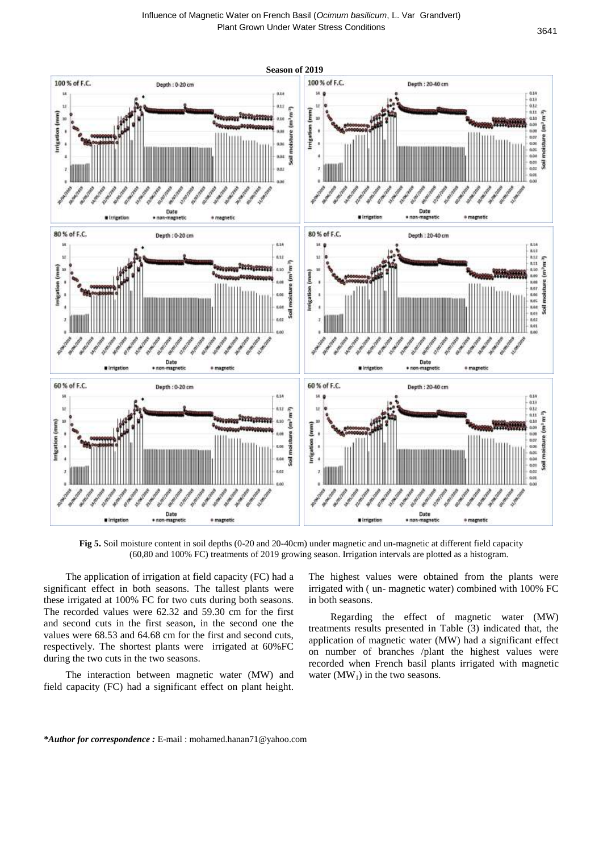

**Fig 5.** Soil moisture content in soil depths (0-20 and 20-40cm) under magnetic and un-magnetic at different field capacity (60,80 and 100% FC) treatments of 2019 growing season. Irrigation intervals are plotted as a histogram.

The application of irrigation at field capacity (FC) had a significant effect in both seasons. The tallest plants were these irrigated at 100% FC for two cuts during both seasons. The recorded values were 62.32 and 59.30 cm for the first and second cuts in the first season, in the second one the values were 68.53 and 64.68 cm for the first and second cuts, respectively. The shortest plants were irrigated at 60%FC during the two cuts in the two seasons.

The interaction between magnetic water (MW) and field capacity (FC) had a significant effect on plant height.

The highest values were obtained from the plants were irrigated with ( un- magnetic water) combined with 100% FC in both seasons.

Regarding the effect of magnetic water (MW) treatments results presented in Table (3) indicated that, the application of magnetic water (MW) had a significant effect on number of branches /plant the highest values were recorded when French basil plants irrigated with magnetic water  $(MW_1)$  in the two seasons.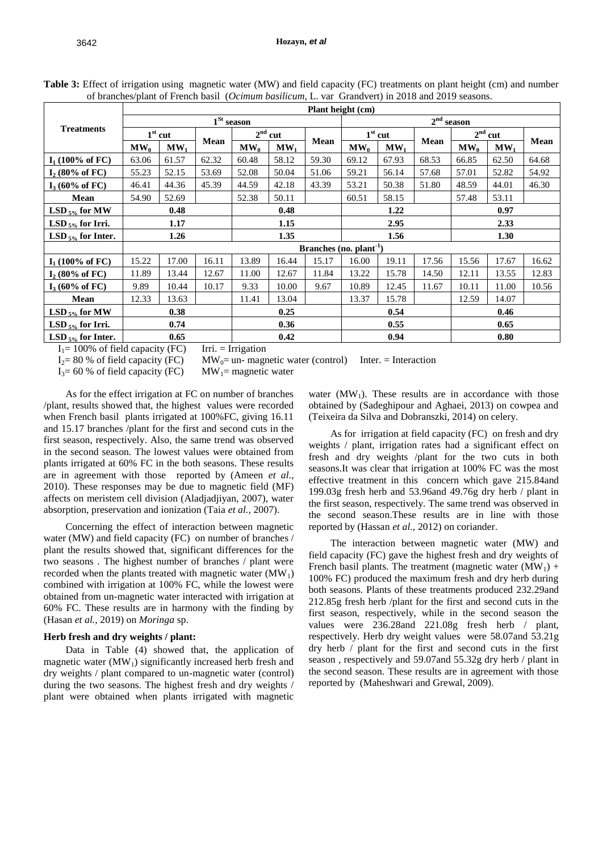|                            |        |              |             |                   |                 |                              | Plant height (cm) |                 |       |              |        |       |
|----------------------------|--------|--------------|-------------|-------------------|-----------------|------------------------------|-------------------|-----------------|-------|--------------|--------|-------|
|                            |        |              |             | $1St$ season      |                 |                              |                   |                 |       | $2nd$ season |        |       |
| <b>Treatments</b>          |        | $1st$ cut    |             |                   | $2nd$ cut       |                              | $1st$ cut         |                 |       | $2nd$ cut    |        |       |
|                            | $MW_0$ | $MW_1$       | <b>Mean</b> | $\mathbf{MW}_{0}$ | MW <sub>1</sub> | Mean                         | $\mathbf{MW}_{0}$ | MW <sub>1</sub> | Mean  | $MW_0$       | $MW_1$ | Mean  |
| $I_1$ (100% of FC)         | 63.06  | 61.57        | 62.32       | 60.48             | 58.12           | 59.30                        | 69.12             | 67.93           | 68.53 | 66.85        | 62.50  | 64.68 |
| $I_2$ (80% of FC)          | 55.23  | 52.15        | 53.69       | 52.08             | 50.04           | 51.06                        | 59.21             | 56.14           | 57.68 | 57.01        | 52.82  | 54.92 |
| $I_3(60\% \text{ of } FC)$ | 46.41  | 44.36        | 45.39       | 44.59             | 42.18           | 43.39                        | 53.21             | 50.38           | 51.80 | 48.59        | 44.01  | 46.30 |
| Mean                       | 54.90  | 52.69        |             | 52.38             | 50.11           |                              | 60.51             | 58.15           |       | 57.48        | 53.11  |       |
| LSD $_{5\%}$ for MW        |        | 0.48<br>0.48 |             |                   |                 |                              | 1.22              |                 | 0.97  |              |        |       |
| LSD $_{5\%}$ for Irri.     |        | 1.17         |             |                   | 1.15            |                              |                   | 2.95            |       |              | 2.33   |       |
| LSD $_{5\%}$ for Inter.    |        | 1.26         |             |                   | 1.35            |                              |                   | 1.56            |       |              | 1.30   |       |
|                            |        |              |             |                   |                 | Branches (no. $plant^{-1}$ ) |                   |                 |       |              |        |       |
| $I_1$ (100% of FC)         | 15.22  | 17.00        | 16.11       | 13.89             | 16.44           | 15.17                        | 16.00             | 19.11           | 17.56 | 15.56        | 17.67  | 16.62 |
| $I_2$ (80% of FC)          | 11.89  | 13.44        | 12.67       | 11.00             | 12.67           | 11.84                        | 13.22             | 15.78           | 14.50 | 12.11        | 13.55  | 12.83 |
| $I_3(60\% \text{ of } FC)$ | 9.89   | 10.44        | 10.17       | 9.33              | 10.00           | 9.67                         | 10.89             | 12.45           | 11.67 | 10.11        | 11.00  | 10.56 |
| Mean                       | 12.33  | 13.63        |             | 11.41             | 13.04           |                              | 13.37             | 15.78           |       | 12.59        | 14.07  |       |
| $LSD_{5\%}$ for MW         |        | 0.25<br>0.38 |             |                   |                 |                              | 0.54              |                 | 0.46  |              |        |       |
| $LSD_{5\%}$ for Irri.      |        | 0.74         |             |                   | 0.36            |                              |                   | 0.55            |       | 0.65         |        |       |
| LSD $_{5\%}$ for Inter.    |        | 0.65         | $ -$        | $ -$              | 0.42            |                              |                   | 0.94            |       |              | 0.80   |       |

**Table 3:** Effect of irrigation using magnetic water (MW) and field capacity (FC) treatments on plant height (cm) and number of branches/plant of French basil (*Ocimum basilicum,* L. var Grandvert) in 2018 and 2019 seasons.

 $I_1 = 100\%$  of field capacity (FC) Irri. = Irrigation

 $I_2 = 80\%$  of field capacity (FC) MW<sub>0</sub>= un- magnetic water (control) Inter. = Interaction

 $I_3 = 60$  % of field capacity (FC) MW<sub>1</sub>= magnetic water

As for the effect irrigation at FC on number of branches /plant, results showed that, the highest values were recorded when French basil plants irrigated at 100%FC, giving 16.11 and 15.17 branches /plant for the first and second cuts in the first season, respectively. Also, the same trend was observed in the second season. The lowest values were obtained from plants irrigated at 60% FC in the both seasons. These results are in agreement with those reported by (Ameen *et al.,* 2010). These responses may be due to magnetic field (MF) affects on meristem cell division (Aladjadjiyan, 2007), water absorption, preservation and ionization (Taia *et al.,* 2007).

Concerning the effect of interaction between magnetic water (MW) and field capacity (FC) on number of branches / plant the results showed that, significant differences for the two seasons . The highest number of branches / plant were recorded when the plants treated with magnetic water  $(MW<sub>1</sub>)$ combined with irrigation at 100% FC, while the lowest were obtained from un-magnetic water interacted with irrigation at 60% FC. These results are in harmony with the finding by (Hasan *et al.,* 2019) on *Moringa* sp.

## **Herb fresh and dry weights / plant:**

Data in Table (4) showed that, the application of magnetic water  $(MW_1)$  significantly increased herb fresh and dry weights / plant compared to un-magnetic water (control) during the two seasons. The highest fresh and dry weights / plant were obtained when plants irrigated with magnetic water  $(MW_1)$ . These results are in accordance with those obtained by (Sadeghipour and Aghaei, 2013) on cowpea and (Teixeira da Silva and Dobranszki, 2014) on celery.

As for irrigation at field capacity (FC) on fresh and dry weights / plant, irrigation rates had a significant effect on fresh and dry weights /plant for the two cuts in both seasons.It was clear that irrigation at 100% FC was the most effective treatment in this concern which gave 215.84and 199.03g fresh herb and 53.96and 49.76g dry herb / plant in the first season, respectively. The same trend was observed in the second season.These results are in line with those reported by (Hassan *et al.,* 2012) on coriander.

The interaction between magnetic water (MW) and field capacity (FC) gave the highest fresh and dry weights of French basil plants. The treatment (magnetic water  $(MW_1)$  + 100% FC) produced the maximum fresh and dry herb during both seasons. Plants of these treatments produced 232.29and 212.85g fresh herb /plant for the first and second cuts in the first season, respectively, while in the second season the values were 236.28and 221.08g fresh herb / plant, respectively. Herb dry weight values were 58.07and 53.21g dry herb / plant for the first and second cuts in the first season , respectively and 59.07and 55.32g dry herb / plant in the second season. These results are in agreement with those reported by (Maheshwari and Grewal, 2009).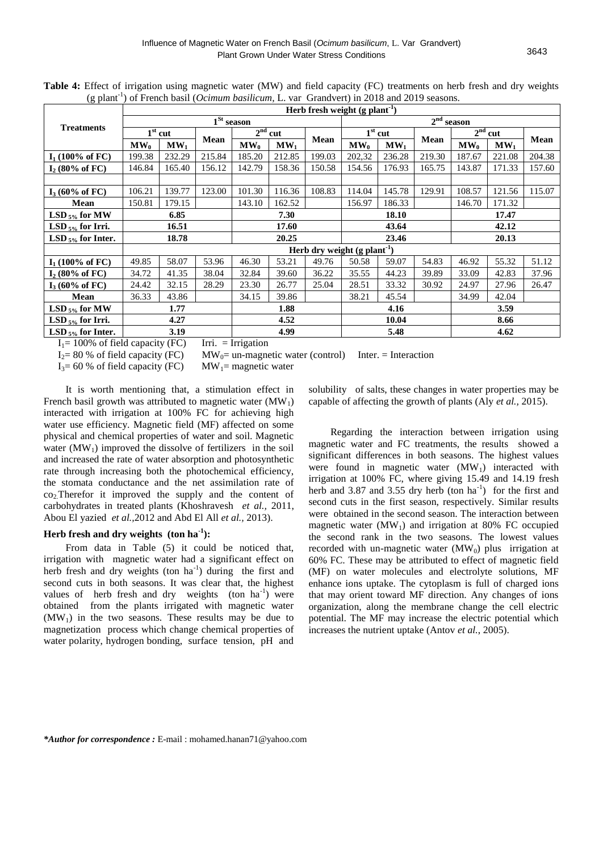|                         |              | Herb fresh weight $(g$ plant <sup>-1</sup> ) |        |                   |                 |                                            |                   |                 |        |                   |           |        |
|-------------------------|--------------|----------------------------------------------|--------|-------------------|-----------------|--------------------------------------------|-------------------|-----------------|--------|-------------------|-----------|--------|
|                         |              |                                              |        | $1St$ season      |                 |                                            |                   |                 |        | $2nd$ season      |           |        |
| <b>Treatments</b>       |              | $1st$ cut                                    |        |                   | $2nd$ cut       |                                            |                   | $1st$ cut       |        |                   | $2nd$ cut |        |
|                         | $MW_0$       | MW <sub>1</sub>                              | Mean   | $\mathbf{MW}_{0}$ | MW <sub>1</sub> | <b>Mean</b>                                | $\mathbf{MW}_{0}$ | MW <sub>1</sub> | Mean   | $\mathbf{MW}_{0}$ | $MW_1$    | Mean   |
| $I_1$ (100% of FC)      | 199.38       | 232.29                                       | 215.84 | 185.20            | 212.85          | 199.03                                     | 202,32            | 236.28          | 219.30 | 187.67            | 221.08    | 204.38 |
| $I_2$ (80% of FC)       | 146.84       | 165.40                                       | 156.12 | 142.79            | 158.36          | 150.58                                     | 154.56            | 176.93          | 165.75 | 143.87            | 171.33    | 157.60 |
|                         |              |                                              |        |                   |                 |                                            |                   |                 |        |                   |           |        |
| $I_3$ (60% of FC)       | 106.21       | 139.77                                       | 123.00 | 101.30            | 116.36          | 108.83                                     | 114.04            | 145.78          | 129.91 | 108.57            | 121.56    | 115.07 |
| Mean                    | 150.81       | 179.15                                       |        | 143.10            | 162.52          |                                            | 156.97            | 186.33          |        | 146.70            | 171.32    |        |
| LSD $_{5\%}$ for MW     | 6.85<br>7.30 |                                              |        |                   | 18.10           | 17.47                                      |                   |                 |        |                   |           |        |
| $LSD_{5\%}$ for Irri.   |              | 16.51                                        |        |                   | 17.60           |                                            |                   | 43.64           |        |                   | 42.12     |        |
| LSD $_{5\%}$ for Inter. |              | 18.78                                        |        |                   | 20.25           |                                            |                   | 23.46           |        |                   | 20.13     |        |
|                         |              |                                              |        |                   |                 | Herb dry weight $(g$ plant <sup>-1</sup> ) |                   |                 |        |                   |           |        |
| $I_1$ (100% of FC)      | 49.85        | 58.07                                        | 53.96  | 46.30             | 53.21           | 49.76                                      | 50.58             | 59.07           | 54.83  | 46.92             | 55.32     | 51.12  |
| $I_2$ (80% of FC)       | 34.72        | 41.35                                        | 38.04  | 32.84             | 39.60           | 36.22                                      | 35.55             | 44.23           | 39.89  | 33.09             | 42.83     | 37.96  |
| $I_3$ (60% of FC)       | 24.42        | 32.15                                        | 28.29  | 23.30             | 26.77           | 25.04                                      | 28.51             | 33.32           | 30.92  | 24.97             | 27.96     | 26.47  |
| Mean                    | 36.33        | 43.86                                        |        | 34.15             | 39.86           |                                            | 38.21             | 45.54           |        | 34.99             | 42.04     |        |
| $LSD_{5\%}$ for MW      | 1.88<br>1.77 |                                              |        |                   |                 | 4.16                                       |                   |                 | 3.59   |                   |           |        |
| LSD $_{5\%}$ for Irri.  | 4.27<br>4.52 |                                              |        |                   |                 | 10.04                                      |                   | 8.66            |        |                   |           |        |
| LSD $_{5\%}$ for Inter. |              | 3.19                                         |        |                   | 4.99            |                                            |                   | 5.48            |        |                   | 4.62      |        |

**Table 4:** Effect of irrigation using magnetic water (MW) and field capacity (FC) treatments on herb fresh and dry weights (g plant<sup>-1</sup>) of French basil (*Ocimum basilicum*, L. var Grandvert) in 2018 and 2019 seasons.

 $I_1 = 100\%$  of field capacity (FC) Irri. = Irrigation

 $I_2 = 80 %$  of field capacity (FC) MW<sub>0</sub>= un-magnetic water (control) Inter. = Interaction

 $I_3 = 60$  % of field capacity (FC) MW<sub>1</sub>= magnetic water

It is worth mentioning that, a stimulation effect in French basil growth was attributed to magnetic water  $(MW<sub>1</sub>)$ interacted with irrigation at 100% FC for achieving high water use efficiency. Magnetic field (MF) affected on some physical and chemical properties of water and soil. Magnetic water  $(MW_1)$  improved the dissolve of fertilizers in the soil and increased the rate of water absorption and photosynthetic rate through increasing both the photochemical efficiency, the stomata conductance and the net assimilation rate of co2.Therefor it improved the supply and the content of carbohydrates in treated plants (Khoshravesh *et al.,* 2011, Abou El yazied *et al.,*2012 and Abd El All *et al.,* 2013).

## **Herb fresh and dry weights (ton ha-1 ):**

From data in Table (5) it could be noticed that, irrigation with magnetic water had a significant effect on herb fresh and dry weights (ton  $ha^{-1}$ ) during the first and second cuts in both seasons. It was clear that, the highest values of herb fresh and dry weights (ton  $ha^{-1}$ ) were obtained from the plants irrigated with magnetic water  $(MW_1)$  in the two seasons. These results may be due to magnetization process which change chemical properties of water polarity, hydrogen bonding, surface tension, pH and

solubility of salts, these changes in water properties may be capable of affecting the growth of plants (Aly *et al.,* 2015).

Regarding the interaction between irrigation using magnetic water and FC treatments, the results showed a significant differences in both seasons. The highest values were found in magnetic water  $(MW_1)$  interacted with irrigation at 100% FC, where giving 15.49 and 14.19 fresh herb and 3.87 and 3.55 dry herb (ton  $ha^{-1}$ ) for the first and second cuts in the first season, respectively. Similar results were obtained in the second season. The interaction between magnetic water  $(MW_1)$  and irrigation at 80% FC occupied the second rank in the two seasons. The lowest values recorded with un-magnetic water  $(MW_0)$  plus irrigation at 60% FC. These may be attributed to effect of magnetic field (MF) on water molecules and electrolyte solutions, MF enhance ions uptake. The cytoplasm is full of charged ions that may orient toward MF direction. Any changes of ions organization, along the membrane change the cell electric potential. The MF may increase the electric potential which increases the nutrient uptake (Antov *et al.*, 2005).

*\*Author for correspondence :* E-mail : mohamed.hanan71@yahoo.com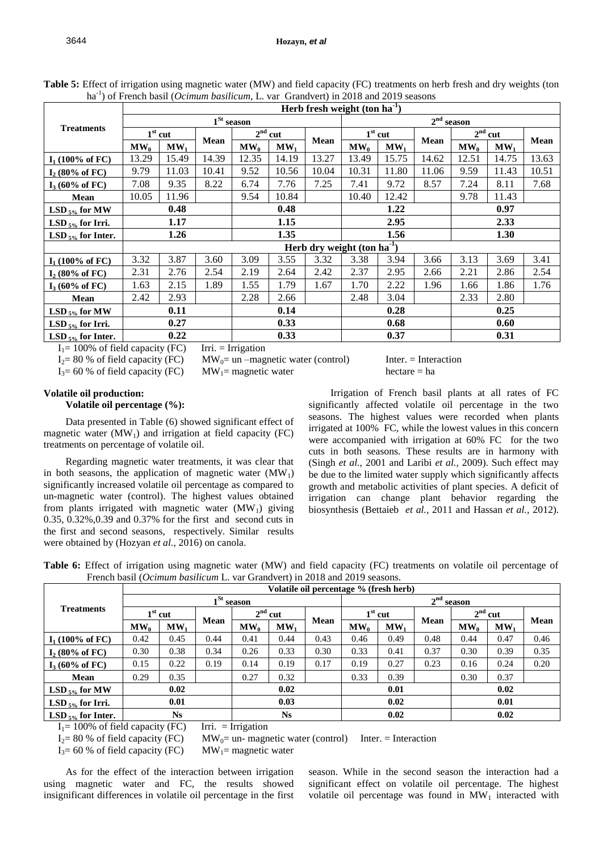|                            |              |           |       |                     |                 | Herb fresh weight (ton $ha^{-1}$ ) |                   |                                |                     |                        |        |             |
|----------------------------|--------------|-----------|-------|---------------------|-----------------|------------------------------------|-------------------|--------------------------------|---------------------|------------------------|--------|-------------|
|                            |              |           |       | $1^{\rm St}$ season |                 |                                    |                   |                                | $2^{\rm nd}$ season |                        |        |             |
| <b>Treatments</b>          |              | $1st$ cut |       | 2 <sup>nd</sup>     | cut             |                                    | $1st$ cut         |                                |                     | 2 <sup>nd</sup><br>cut |        |             |
|                            | $MW_0$       | $MW_1$    | Mean  | $\mathbf{MW}_{0}$   | MW <sub>1</sub> | <b>Mean</b>                        | $\mathbf{MW}_{0}$ | MW <sub>1</sub>                | <b>Mean</b>         | $MW_0$                 | $MW_1$ | <b>Mean</b> |
| $I_1$ (100% of FC)         | 13.29        | 15.49     | 14.39 | 12.35               | 14.19           | 13.27                              | 13.49             | 15.75                          | 14.62               | 12.51                  | 14.75  | 13.63       |
| $I_2$ (80% of FC)          | 9.79         | 11.03     | 10.41 | 9.52                | 10.56           | 10.04                              | 10.31             | 11.80                          | 11.06               | 9.59                   | 11.43  | 10.51       |
| $I_3(60\% \text{ of } FC)$ | 7.08         | 9.35      | 8.22  | 6.74                | 7.76            | 7.25                               | 7.41              | 9.72                           | 8.57                | 7.24                   | 8.11   | 7.68        |
| Mean                       | 10.05        | 11.96     |       | 9.54                | 10.84           |                                    | 10.40             | 12.42                          |                     | 9.78                   | 11.43  |             |
| $LSD_{5\%}$ for MW         | 0.48<br>0.48 |           |       |                     |                 |                                    | 1.22              |                                | 0.97                |                        |        |             |
| LSD $_{5\%}$ for Irri.     | 1.15<br>1.17 |           |       |                     |                 | 2.95                               |                   |                                | 2.33                |                        |        |             |
| LSD $_{5\%}$ for Inter.    |              | 1.26      |       |                     | 1.35            |                                    |                   | 1.56                           |                     |                        | 1.30   |             |
|                            |              |           |       |                     |                 |                                    |                   | Herb dry weight (ton ha $-1$ ) |                     |                        |        |             |
| $I_1$ (100% of FC)         | 3.32         | 3.87      | 3.60  | 3.09                | 3.55            | 3.32                               | 3.38              | 3.94                           | 3.66                | 3.13                   | 3.69   | 3.41        |
| $I_2$ (80% of FC)          | 2.31         | 2.76      | 2.54  | 2.19                | 2.64            | 2.42                               | 2.37              | 2.95                           | 2.66                | 2.21                   | 2.86   | 2.54        |
| $I_3(60\% \text{ of } FC)$ | 1.63         | 2.15      | 1.89  | 1.55                | 1.79            | 1.67                               | 1.70              | 2.22                           | 1.96                | 1.66                   | 1.86   | 1.76        |
| Mean                       | 2.42         | 2.93      |       | 2.28                | 2.66            |                                    | 2.48              | 3.04                           |                     | 2.33                   | 2.80   |             |
| LSD $_{5\%}$ for MW        |              | 0.11      |       |                     | 0.14            |                                    |                   | 0.28                           |                     |                        | 0.25   |             |
| $LSD_{5\%}$ for Irri.      |              | 0.27      |       |                     | 0.33            |                                    | 0.68              |                                |                     | 0.60                   |        |             |
| LSD $_{5\%}$ for Inter.    |              | 0.22      |       |                     | 0.33            |                                    |                   | 0.37                           |                     |                        | 0.31   |             |

**Table 5:** Effect of irrigation using magnetic water (MW) and field capacity (FC) treatments on herb fresh and dry weights (ton ha-1 ) of French basil (*Ocimum basilicum,* L. var Grandvert) in 2018 and 2019 seasons

 $I_1 = 100\%$  of field capacity (FC) Irri. = Irrigation

 $I_2 = 80 %$  of field capacity (FC) MW<sub>0</sub>= un –magnetic water (control) Inter. = Interaction

 $I_3 = 60\%$  of field capacity (FC) MW<sub>1</sub> = magnetic water hectare = ha

#### **Volatile oil production: Volatile oil percentage (%):**

Data presented in Table (6) showed significant effect of magnetic water  $(MW_1)$  and irrigation at field capacity (FC) treatments on percentage of volatile oil.

Regarding magnetic water treatments, it was clear that in both seasons, the application of magnetic water  $(MW_1)$ significantly increased volatile oil percentage as compared to un-magnetic water (control). The highest values obtained from plants irrigated with magnetic water  $(MW_1)$  giving 0.35, 0.32%,0.39 and 0.37% for the first and second cuts in the first and second seasons, respectively. Similar results were obtained by (Hozyan *et al.,* 2016) on canola.

Irrigation of French basil plants at all rates of FC significantly affected volatile oil percentage in the two seasons. The highest values were recorded when plants irrigated at 100% FC, while the lowest values in this concern were accompanied with irrigation at 60% FC for the two cuts in both seasons. These results are in harmony with (Singh *et al.,* 2001 and Laribi *et al.,* 2009). Such effect may be due to the limited water supply which significantly affects growth and metabolic activities of plant species. A deficit of irrigation can change plant behavior regarding the biosynthesis (Bettaieb *et al.,* 2011 and Hassan *et al.,* 2012).

| Table 6: Effect of irrigation using magnetic water (MW) and field capacity (FC) treatments on volatile oil percentage of |  |  |  |  |  |
|--------------------------------------------------------------------------------------------------------------------------|--|--|--|--|--|
| French basil ( <i>Ocimum basilicum L.</i> var Grandvert) in 2018 and 2019 seasons.                                       |  |  |  |  |  |

|                         |           |           |      |                                 |                 | Volatile oil percentage % (fresh herb) |                 |           |      |        |                 |      |  |
|-------------------------|-----------|-----------|------|---------------------------------|-----------------|----------------------------------------|-----------------|-----------|------|--------|-----------------|------|--|
|                         |           |           |      | $1St$ season<br>2 <sup>nd</sup> |                 |                                        |                 |           |      | season |                 |      |  |
| <b>Treatments</b>       | $1st$ cut |           |      |                                 | $2nd$ cut       |                                        |                 | $1st$ cut |      |        | $2nd$ cut       |      |  |
|                         | $MW_0$    | MW.       | Mean | $MW_0$                          | MW <sub>1</sub> | Mean                                   | MW <sub>0</sub> | MW.       | Mean | $MW_0$ | MW <sub>1</sub> | Mean |  |
| $I_1$ (100% of FC)      | 0.42      | 0.45      | 0.44 | 0.41                            | 0.44            | 0.43                                   | 0.46            | 0.49      | 0.48 | 0.44   | 0.47            | 0.46 |  |
| $I_2$ (80% of FC)       | 0.30      | 0.38      | 0.34 | 0.26                            | 0.33            | 0.30                                   | 0.33            | 0.41      | 0.37 | 0.30   | 0.39            | 0.35 |  |
| $I_3$ (60% of FC)       | 0.15      | 0.22      | 0.19 | 0.14                            | 0.19            | 0.17                                   | 0.19            | 0.27      | 0.23 | 0.16   | 0.24            | 0.20 |  |
| Mean                    | 0.29      | 0.35      |      | 0.27                            | 0.32            |                                        | 0.33            | 0.39      |      | 0.30   | 0.37            |      |  |
| LSD $_{5\%}$ for MW     |           | 0.02      |      |                                 | 0.02            |                                        |                 | 0.01      |      |        | 0.02            |      |  |
| $LSD_{5\%}$ for Irri.   | 0.01      |           |      |                                 | 0.03            |                                        | 0.02            |           |      | 0.01   |                 |      |  |
| LSD $_{5\%}$ for Inter. |           | <b>Ns</b> |      |                                 | <b>Ns</b>       |                                        |                 | 0.02      |      |        | 0.02            |      |  |

 $I_1 = 100\%$  of field capacity (FC) Irri. = Irrigation

 $I_2 = 80 \%$  of field capacity (FC) MW<sub>0</sub>= un- magnetic water (control) Inter. = Interaction

 $I_3 = 60$  % of field capacity (FC) MW<sub>1</sub>= magnetic water

As for the effect of the interaction between irrigation using magnetic water and FC, the results showed insignificant differences in volatile oil percentage in the first season. While in the second season the interaction had a significant effect on volatile oil percentage. The highest volatile oil percentage was found in  $MW<sub>1</sub>$  interacted with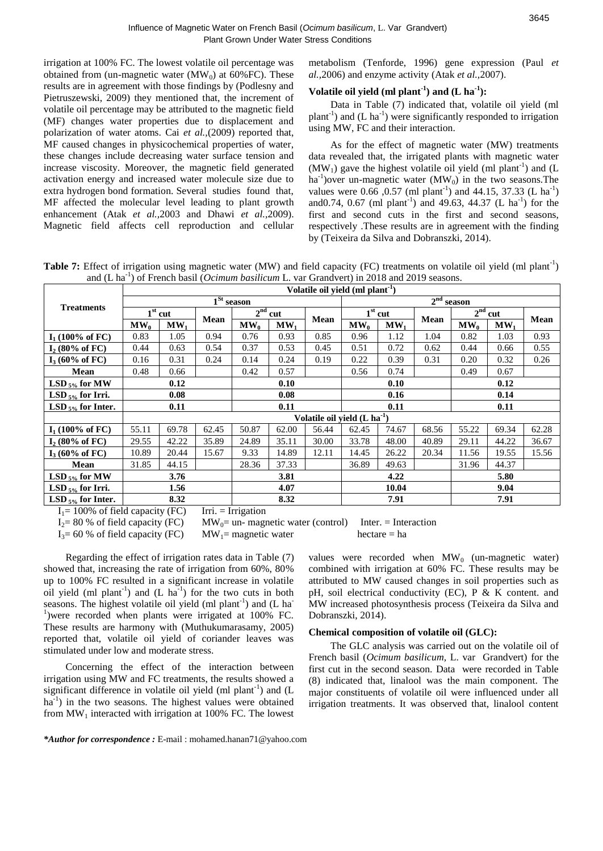irrigation at 100% FC. The lowest volatile oil percentage was obtained from (un-magnetic water (MW<sub>0</sub>) at  $\overline{60\%}$  FC). These results are in agreement with those findings by (Podlesny and Pietruszewski, 2009) they mentioned that, the increment of volatile oil percentage may be attributed to the magnetic field (MF) changes water properties due to displacement and polarization of water atoms. Cai *et al.,*(2009) reported that, MF caused changes in physicochemical properties of water, these changes include decreasing water surface tension and increase viscosity. Moreover, the magnetic field generated activation energy and increased water molecule size due to extra hydrogen bond formation. Several studies found that, MF affected the molecular level leading to plant growth enhancement (Atak *et al.,*2003 and Dhawi *et al.,*2009). Magnetic field affects cell reproduction and cellular metabolism (Tenforde, 1996) gene expression (Paul *et al.,*2006) and enzyme activity (Atak *et al.,*2007).

## Volatile oil yield  $(ml$  plant<sup>-1</sup>) and  $(L \text{ ha}^{-1})$ :

Data in Table (7) indicated that, volatile oil yield (ml plant<sup>-1</sup>) and  $(L \text{ ha}^{-1})$  were significantly responded to irrigation using MW, FC and their interaction.

As for the effect of magnetic water (MW) treatments data revealed that, the irrigated plants with magnetic water  $(MW<sub>1</sub>)$  gave the highest volatile oil yield (ml plant<sup>-1</sup>) and (L ha<sup>-1</sup>) over un-magnetic water  $(MW_0)$  in the two seasons. The values were 0.66, 0.57 (ml plant<sup>-1</sup>) and 44.15, 37.33 (L ha<sup>-1</sup>) and 0.74, 0.67 (ml plant<sup>-1</sup>) and 49.63, 44.37 (L ha<sup>-1</sup>) for the first and second cuts in the first and second seasons, respectively .These results are in agreement with the finding by (Teixeira da Silva and Dobranszki, 2014).

Table 7: Effect of irrigation using magnetic water (MW) and field capacity (FC) treatments on volatile oil yield (ml plant<sup>-1</sup>) and (L ha<sup>-1</sup>) of French basil (*Ocimum basilicum* L. var Grandvert) in 2018 and 2019 seasons.

|                                                                                                                                                                                                                                                                                                                             | Volatile oil yield (ml plant <sup>-1</sup> ) |                             |       |              |           |                                          |                   |                 |       |              |                 |       |
|-----------------------------------------------------------------------------------------------------------------------------------------------------------------------------------------------------------------------------------------------------------------------------------------------------------------------------|----------------------------------------------|-----------------------------|-------|--------------|-----------|------------------------------------------|-------------------|-----------------|-------|--------------|-----------------|-------|
|                                                                                                                                                                                                                                                                                                                             |                                              |                             |       | $1St$ season |           |                                          |                   |                 |       | $2nd$ season |                 |       |
| <b>Treatments</b>                                                                                                                                                                                                                                                                                                           |                                              | $\overline{1}^{\rm st}$ cut |       |              | $2nd$ cut |                                          |                   | $1st$ cut       |       |              | $2nd$ cut       |       |
|                                                                                                                                                                                                                                                                                                                             | $MW_0$                                       | MW <sub>1</sub>             | Mean  | $MW_0$       | $MW_1$    | <b>Mean</b>                              | $\mathbf{MW}_{0}$ | MW <sub>1</sub> | Mean  | $MW_0$       | MW <sub>1</sub> | Mean  |
| $I_1$ (100% of FC)                                                                                                                                                                                                                                                                                                          | 0.83                                         | 1.05                        | 0.94  | 0.76         | 0.93      | 0.85                                     | 0.96              | 1.12            | 1.04  | 0.82         | 1.03            | 0.93  |
| $I_2$ (80% of FC)                                                                                                                                                                                                                                                                                                           | 0.44                                         | 0.63                        | 0.54  | 0.37         | 0.53      | 0.45                                     | 0.51              | 0.72            | 0.62  | 0.44         | 0.66            | 0.55  |
| $I_3(60\% \text{ of } FC)$                                                                                                                                                                                                                                                                                                  | 0.16                                         | 0.31                        | 0.24  | 0.14         | 0.24      | 0.19                                     | 0.22              | 0.39            | 0.31  | 0.20         | 0.32            | 0.26  |
| Mean                                                                                                                                                                                                                                                                                                                        | 0.48                                         | 0.66                        |       | 0.42         | 0.57      |                                          | 0.56              | 0.74            |       | 0.49         | 0.67            |       |
| LSD $_{5\%}$ for MW                                                                                                                                                                                                                                                                                                         | 0.12<br>0.10<br>0.10                         |                             |       |              |           |                                          | 0.12              |                 |       |              |                 |       |
| LSD $_{5\%}$ for Irri.                                                                                                                                                                                                                                                                                                      | 0.08<br>0.08                                 |                             |       |              |           |                                          | 0.16              |                 |       | 0.14         |                 |       |
| LSD $_{5\%}$ for Inter.                                                                                                                                                                                                                                                                                                     |                                              | 0.11                        |       |              | 0.11      |                                          |                   | 0.11<br>0.11    |       |              |                 |       |
|                                                                                                                                                                                                                                                                                                                             |                                              |                             |       |              |           | Volatile oil yield (L ha <sup>-1</sup> ) |                   |                 |       |              |                 |       |
| $I_1$ (100% of FC)                                                                                                                                                                                                                                                                                                          | 55.11                                        | 69.78                       | 62.45 | 50.87        | 62.00     | 56.44                                    | 62.45             | 74.67           | 68.56 | 55.22        | 69.34           | 62.28 |
| $I_2$ (80% of FC)                                                                                                                                                                                                                                                                                                           | 29.55                                        | 42.22                       | 35.89 | 24.89        | 35.11     | 30.00                                    | 33.78             | 48.00           | 40.89 | 29.11        | 44.22           | 36.67 |
| $I_3(60\% \text{ of } FC)$                                                                                                                                                                                                                                                                                                  | 10.89                                        | 20.44                       | 15.67 | 9.33         | 14.89     | 12.11                                    | 14.45             | 26.22           | 20.34 | 11.56        | 19.55           | 15.56 |
| Mean                                                                                                                                                                                                                                                                                                                        | 31.85                                        | 44.15                       |       | 28.36        | 37.33     |                                          | 36.89             | 49.63           |       | 31.96        | 44.37           |       |
| LSD $_{5\%}$ for MW                                                                                                                                                                                                                                                                                                         | 3.76<br>3.81                                 |                             |       |              |           |                                          | 4.22              |                 |       | 5.80         |                 |       |
| $LSD_{5\%}$ for Irri.                                                                                                                                                                                                                                                                                                       | 4.07<br>1.56                                 |                             |       |              |           |                                          | 10.04             |                 | 9.04  |              |                 |       |
| LSD $_{5\%}$ for Inter.<br>$\mathbf{r}$ and $\mathbf{r}$ and $\mathbf{r}$ and $\mathbf{r}$ and $\mathbf{r}$ and $\mathbf{r}$ and $\mathbf{r}$ and $\mathbf{r}$ and $\mathbf{r}$ and $\mathbf{r}$ and $\mathbf{r}$ and $\mathbf{r}$ and $\mathbf{r}$ and $\mathbf{r}$ and $\mathbf{r}$ and $\mathbf{r}$ and $\mathbf{r}$ and |                                              | 8.32<br>$\sim$              | $ -$  | $   -$       | 8.32      |                                          |                   | 7.91            |       |              | 7.91            |       |

 $I_1 = 100\%$  of field capacity (FC) Irri. = Irrigation

 $I_2$ = 80 % of field capacity (FC) MW<sub>0</sub>= un- magnetic water (control) Inter. = Interaction

 $I_3 = 60 %$  of field capacity (FC) MW<sub>1</sub>= magnetic water hectare = ha

Regarding the effect of irrigation rates data in Table (7) showed that, increasing the rate of irrigation from 60%, 80% up to 100% FC resulted in a significant increase in volatile oil yield (ml plant<sup>-1</sup>) and (L ha<sup>-1</sup>) for the two cuts in both seasons. The highest volatile oil yield  $(ml$  plant<sup>-1</sup>) and  $(L$  ha<sup>-</sup> <sup>1</sup>) were recorded when plants were irrigated at 100% FC. These results are harmony with (Muthukumarasamy, 2005) reported that, volatile oil yield of coriander leaves was stimulated under low and moderate stress.

Concerning the effect of the interaction between irrigation using MW and FC treatments, the results showed a significant difference in volatile oil yield (ml plant<sup>-1</sup>) and  $(L)$ ha<sup>-1</sup>) in the two seasons. The highest values were obtained from  $MW<sub>1</sub>$  interacted with irrigation at 100% FC. The lowest

values were recorded when  $MW_0$  (un-magnetic water) combined with irrigation at 60% FC. These results may be attributed to MW caused changes in soil properties such as pH, soil electrical conductivity (EC), P & K content. and MW increased photosynthesis process (Teixeira da Silva and Dobranszki, 2014).

## **Chemical composition of volatile oil (GLC):**

The GLC analysis was carried out on the volatile oil of French basil (*Ocimum basilicum,* L. var Grandvert) for the first cut in the second season. Data were recorded in Table (8) indicated that, linalool was the main component. The major constituents of volatile oil were influenced under all irrigation treatments. It was observed that, linalool content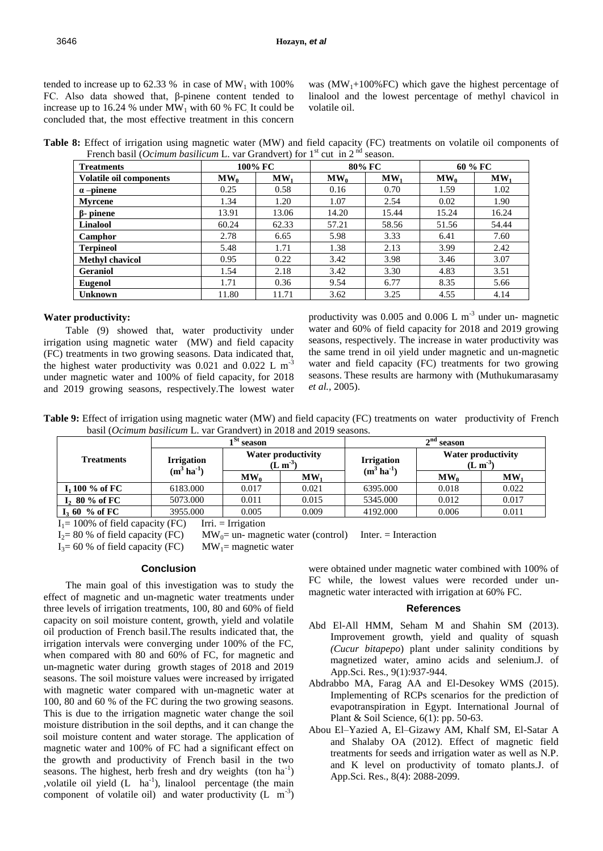tended to increase up to  $62.33\%$  in case of MW<sub>1</sub> with 100% FC. Also data showed that, β-pinene content tended to increase up to 16.24 % under  $MW_1$  with 60 % FC. It could be concluded that, the most effective treatment in this concern was  $(MW_1+100\%$  FC) which gave the highest percentage of linalool and the lowest percentage of methyl chavicol in volatile oil.

**Table 8:** Effect of irrigation using magnetic water (MW) and field capacity (FC) treatments on volatile oil components of French basil (*Ocimum basilicum* L. var Grandvert) for 1<sup>st</sup> cut in 2<sup>nd</sup> season.

| <b>Treatments</b>              |        | 100% FC         |        | 80% FC |        | 60 % FC |
|--------------------------------|--------|-----------------|--------|--------|--------|---------|
| <b>Volatile oil components</b> | $MW_0$ | MW <sub>1</sub> | $MW_0$ | $MW_1$ | $MW_0$ | $MW_1$  |
| $\alpha$ -pinene               | 0.25   | 0.58            | 0.16   | 0.70   | 1.59   | 1.02    |
| <b>Myrcene</b>                 | 1.34   | 1.20            | 1.07   | 2.54   | 0.02   | 1.90    |
| $\beta$ - pinene               | 13.91  | 13.06           | 14.20  | 15.44  | 15.24  | 16.24   |
| Linalool                       | 60.24  | 62.33           | 57.21  | 58.56  | 51.56  | 54.44   |
| Camphor                        | 2.78   | 6.65            | 5.98   | 3.33   | 6.41   | 7.60    |
| <b>Terpineol</b>               | 5.48   | 1.71            | 1.38   | 2.13   | 3.99   | 2.42    |
| <b>Methyl chavicol</b>         | 0.95   | 0.22            | 3.42   | 3.98   | 3.46   | 3.07    |
| <b>Geraniol</b>                | 1.54   | 2.18            | 3.42   | 3.30   | 4.83   | 3.51    |
| <b>Eugenol</b>                 | 1.71   | 0.36            | 9.54   | 6.77   | 8.35   | 5.66    |
| <b>Unknown</b>                 | 11.80  | 11.71           | 3.62   | 3.25   | 4.55   | 4.14    |

#### **Water productivity:**

Table (9) showed that, water productivity under irrigation using magnetic water (MW) and field capacity (FC) treatments in two growing seasons. Data indicated that, the highest water productivity was  $0.021$  and  $0.022$  L m<sup>-3</sup> under magnetic water and 100% of field capacity, for 2018 and 2019 growing seasons, respectively.The lowest water productivity was 0.005 and 0.006 L  $m^{-3}$  under un- magnetic water and 60% of field capacity for 2018 and 2019 growing seasons, respectively. The increase in water productivity was the same trend in oil yield under magnetic and un-magnetic water and field capacity (FC) treatments for two growing seasons. These results are harmony with (Muthukumarasamy *et al.,* 2005).

**Table 9:** Effect of irrigation using magnetic water (MW) and field capacity (FC) treatments on water productivity ofFrench basil (*Ocimum basilicum* L. var Grandvert) in 2018 and 2019 seasons.

|                               |                    | l <sup>St</sup> season |                                 |                                              | $2nd$ season                    |           |  |  |  |
|-------------------------------|--------------------|------------------------|---------------------------------|----------------------------------------------|---------------------------------|-----------|--|--|--|
| <b>Treatments</b>             | <b>Irrigation</b>  |                        | Water productivity<br>$(L m-3)$ | <b>Irrigation</b><br>$(m^3 \text{ ha}^{-1})$ | Water productivity<br>$(L m-3)$ |           |  |  |  |
|                               | $(m^3 \, ha^{-1})$ | $MW_0$                 | $\mathbf{M}\mathbf{W}$          | $MW_0$                                       |                                 | <b>MW</b> |  |  |  |
| I <sub>1</sub> 100 $\%$ of FC | 6183.000           | 0.017                  | 0.021                           | 6395.000                                     | 0.018                           | 0.022     |  |  |  |
| $I_2$ 80 % of FC              | 5073.000           | 0.011                  | 0.015                           | 5345.000                                     | 0.012                           | 0.017     |  |  |  |
| $I3$ 60 % of FC               | 3955.000           | 0.005                  | 0.009                           | 4192.000                                     | 0.006                           | 0.011     |  |  |  |

 $I_1 = 100\%$  of field capacity (FC) Irri. = Irrigation

 $I_2 = 80\%$  of field capacity (FC) MW<sub>0</sub>= un- magnetic water (control) Inter. = Interaction

 $I_3 = 60$  % of field capacity (FC) MW<sub>1</sub>= magnetic water

## **Conclusion**

The main goal of this investigation was to study the effect of magnetic and un-magnetic water treatments under three levels of irrigation treatments, 100, 80 and 60% of field capacity on soil moisture content, growth, yield and volatile oil production of French basil.The results indicated that, the irrigation intervals were converging under 100% of the FC, when compared with 80 and 60% of FC, for magnetic and un-magnetic water during growth stages of 2018 and 2019 seasons. The soil moisture values were increased by irrigated with magnetic water compared with un-magnetic water at 100, 80 and 60 % of the FC during the two growing seasons. This is due to the irrigation magnetic water change the soil moisture distribution in the soil depths, and it can change the soil moisture content and water storage. The application of magnetic water and 100% of FC had a significant effect on the growth and productivity of French basil in the two seasons. The highest, herb fresh and dry weights  $(\text{ton ha}^{-1})$ ,volatile oil yield  $(L \text{ ha}^{-1})$ , linalool percentage (the main component of volatile oil) and water productivity  $(L \text{ m}^{-3})$ 

were obtained under magnetic water combined with 100% of FC while, the lowest values were recorded under unmagnetic water interacted with irrigation at 60% FC.

#### **References**

- Abd El-All HMM, Seham M and Shahin SM (2013). Improvement growth, yield and quality of squash *(Cucur bitapepo*) plant under salinity conditions by magnetized water, amino acids and selenium.J. of App.Sci. Res., 9(1):937-944.
- Abdrabbo MA, Farag AA and El-Desokey WMS (2015). Implementing of RCPs scenarios for the prediction of evapotranspiration in Egypt. International Journal of Plant & Soil Science, 6(1): pp. 50-63.
- Abou El–Yazied A, El–Gizawy AM, Khalf SM, El-Satar A and Shalaby OA (2012). Effect of magnetic field treatments for seeds and irrigation water as well as N.P. and K level on productivity of tomato plants.J. of App.Sci. Res., 8(4): 2088-2099.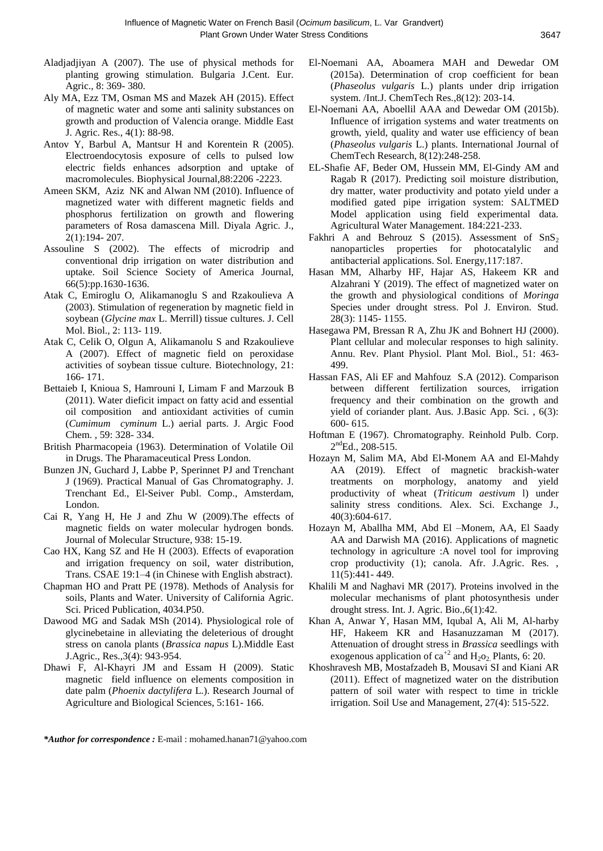- Aladjadjiyan A (2007). The use of physical methods for planting growing stimulation. Bulgaria J.Cent. Eur. Agric., 8: 369- 380.
- Aly MA, Ezz TM, Osman MS and Mazek AH (2015). Effect of magnetic water and some anti salinity substances on growth and production of Valencia orange. Middle East J. Agric. Res., 4(1): 88-98.
- Antov Y, Barbul A, Mantsur H and Korentein R (2005). Electroendocytosis exposure of cells to pulsed low electric fields enhances adsorption and uptake of macromolecules. Biophysical Journal,88:2206 -2223.
- Ameen SKM, Aziz NK and Alwan NM (2010). Influence of magnetized water with different magnetic fields and phosphorus fertilization on growth and flowering parameters of Rosa damascena Mill. Diyala Agric. J., 2(1):194- 207.
- Assouline S (2002). The effects of microdrip and conventional drip irrigation on water distribution and uptake. Soil Science Society of America Journal, 66(5):pp.1630-1636.
- Atak C, Emiroglu O, Alikamanoglu S and Rzakoulieva A (2003). Stimulation of regeneration by magnetic field in soybean (*Glycine max* L. Merrill) tissue cultures. J. Cell Mol. Biol., 2: 113- 119.
- Atak C, Celik O, Olgun A, Alikamanolu S and Rzakoulieve A (2007). Effect of magnetic field on peroxidase activities of soybean tissue culture. Biotechnology, 21: 166- 171.
- Bettaieb I, Knioua S, Hamrouni I, Limam F and Marzouk B (2011). Water dieficit impact on fatty acid and essential oil composition and antioxidant activities of cumin (*Cumimum cyminum* L.) aerial parts. J. Argic Food Chem. , 59: 328- 334.
- British Pharmacopeia (1963). Determination of Volatile Oil in Drugs. The Pharamaceutical Press London.
- Bunzen JN, Guchard J, Labbe P, Sperinnet PJ and Trenchant J (1969). Practical Manual of Gas Chromatography. J. Trenchant Ed., El-Seiver Publ. Comp., Amsterdam, London.
- Cai R, Yang H, He J and Zhu W (2009).The effects of magnetic fields on water molecular hydrogen bonds. Journal of Molecular Structure, 938: 15-19.
- Cao HX, Kang SZ and He H (2003). Effects of evaporation and irrigation frequency on soil, water distribution, Trans. CSAE 19:1–4 (in Chinese with English abstract).
- Chapman HO and Pratt PE (1978). Methods of Analysis for soils, Plants and Water. University of California Agric. Sci. Priced Publication, 4034.P50.
- Dawood MG and Sadak MSh (2014). Physiological role of glycinebetaine in alleviating the deleterious of drought stress on canola plants (*Brassica napus* L).Middle East J.Agric., Res.,3(4): 943-954.
- Dhawi F, Al-Khayri JM and Essam H (2009). Static magnetic field influence on elements composition in date palm (*Phoenix dactylifera* L.). Research Journal of Agriculture and Biological Sciences, 5:161- 166.
- El-Noemani AA, Aboamera MAH and Dewedar OM (2015a). Determination of crop coefficient for bean (*Phaseolus vulgaris* L.) plants under drip irrigation system. /Int.J. ChemTech Res.,8(12): 203-14.
- El-Noemani AA, Aboellil AAA and Dewedar OM (2015b). Influence of irrigation systems and water treatments on growth, yield, quality and water use efficiency of bean (*Phaseolus vulgaris* L.) plants. International Journal of ChemTech Research, 8(12):248-258.
- EL-Shafie AF, Beder OM, Hussein MM, El-Gindy AM and Ragab R (2017). Predicting soil moisture distribution, dry matter, water productivity and potato yield under a modified gated pipe irrigation system: SALTMED Model application using field experimental data. Agricultural Water Management. 184:221-233.
- Fakhri A and Behrouz S (2015). Assessment of  $SnS<sub>2</sub>$ nanoparticles properties for photocatalylic and antibacterial applications. Sol. Energy,117:187.
- Hasan MM, Alharby HF, Hajar AS, Hakeem KR and Alzahrani Y (2019). The effect of magnetized water on the growth and physiological conditions of *Moringa* Species under drought stress. Pol J. Environ. Stud. 28(3): 1145- 1155.
- Hasegawa PM, Bressan R A, Zhu JK and Bohnert HJ (2000). Plant cellular and molecular responses to high salinity. Annu. Rev. Plant Physiol. Plant Mol. Biol., 51: 463- 499.
- Hassan FAS, Ali EF and Mahfouz S.A (2012). Comparison between different fertilization sources, irrigation frequency and their combination on the growth and yield of coriander plant. Aus. J.Basic App. Sci. , 6(3): 600- 615.
- Hoftman E (1967). Chromatography. Reinhold Pulb. Corp.  $2<sup>nd</sup>Ed., 208-515.$
- Hozayn M, Salim MA, Abd El-Monem AA and El-Mahdy AA (2019). Effect of magnetic brackish-water treatments on morphology, anatomy and yield productivity of wheat (*Triticum aestivum* l) under salinity stress conditions. Alex. Sci. Exchange J., 40(3):604-617.
- Hozayn M, Aballha MM, Abd El –Monem, AA, El Saady AA and Darwish MA (2016). Applications of magnetic technology in agriculture :A novel tool for improving crop productivity (1); canola. Afr. J.Agric. Res. , 11(5):441- 449.
- Khalili M and Naghavi MR (2017). Proteins involved in the molecular mechanisms of plant photosynthesis under drought stress. Int. J. Agric. Bio.,6(1):42.
- Khan A, Anwar Y, Hasan MM, Iqubal A, Ali M, Al-harby HF, Hakeem KR and Hasanuzzaman M (2017). Attenuation of drought stress in *Brassica* seedlings with exogenous application of  $ca^{+2}$  and  $H_2o_2$ . Plants, 6: 20.
- Khoshravesh MB, Mostafzadeh B, Mousavi SI and Kiani AR (2011). Effect of magnetized water on the distribution pattern of soil water with respect to time in trickle irrigation. Soil Use and Management, 27(4): 515-522.

*\*Author for correspondence :* E-mail : mohamed.hanan71@yahoo.com